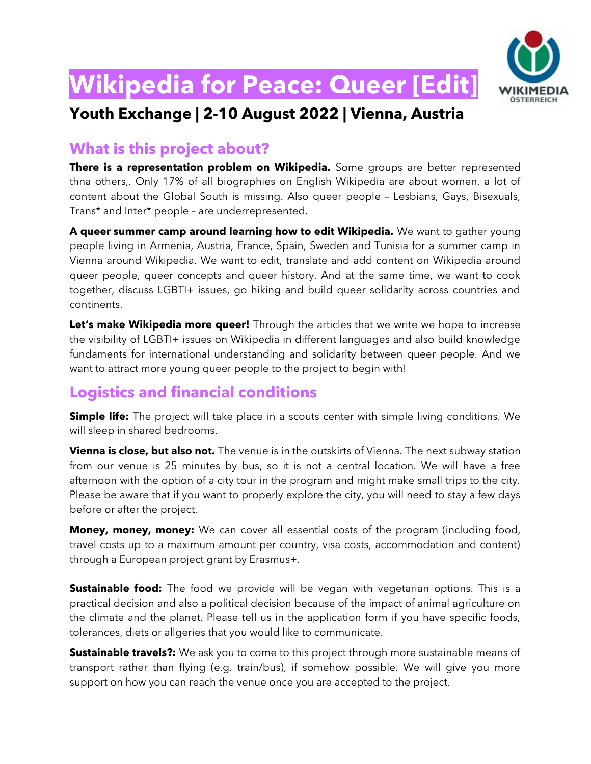

# **Wikipedia for Peace: Queer [Edit]**

## **Youth Exchange | 2-10 August 2022 | Vienna, Austria**

#### **What is this project about?**

**There is a representation problem on Wikipedia.** Some groups are better represented thna others,. Only 17% of all biographies on English Wikipedia are about women, a lot of content about the Global South is missing. Also queer people – Lesbians, Gays, Bisexuals, Trans\* and Inter\* people – are underrepresented.

**A queer summer camp around learning how to edit Wikipedia.** We want to gather young people living in Armenia, Austria, France, Spain, Sweden and Tunisia for a summer camp in Vienna around Wikipedia. We want to edit, translate and add content on Wikipedia around queer people, queer concepts and queer history. And at the same time, we want to cook together, discuss LGBTI+ issues, go hiking and build queer solidarity across countries and continents.

**Let's make Wikipedia more queer!** Through the articles that we write we hope to increase the visibility of LGBTI+ issues on Wikipedia in different languages and also build knowledge fundaments for international understanding and solidarity between queer people. And we want to attract more young queer people to the project to begin with!

#### **Logistics and financial conditions**

**Simple life:** The project will take place in a scouts center with simple living conditions. We will sleep in shared bedrooms.

**Vienna is close, but also not.** The venue is in the outskirts of Vienna. The next subway station from our venue is 25 minutes by bus, so it is not a central location. We will have a free afternoon with the option of a city tour in the program and might make small trips to the city. Please be aware that if you want to properly explore the city, you will need to stay a few days before or after the project.

**Money, money, money:** We can cover all essential costs of the program (including food, travel costs up to a maximum amount per country, visa costs, accommodation and content) through a European project grant by Erasmus+.

**Sustainable food:** The food we provide will be vegan with vegetarian options. This is a practical decision and also a political decision because of the impact of animal agriculture on the climate and the planet. Please tell us in the application form if you have specific foods, tolerances, diets or allgeries that you would like to communicate.

**Sustainable travels?:** We ask you to come to this project through more sustainable means of transport rather than flying (e.g. train/bus), if somehow possible. We will give you more support on how you can reach the venue once you are accepted to the project.